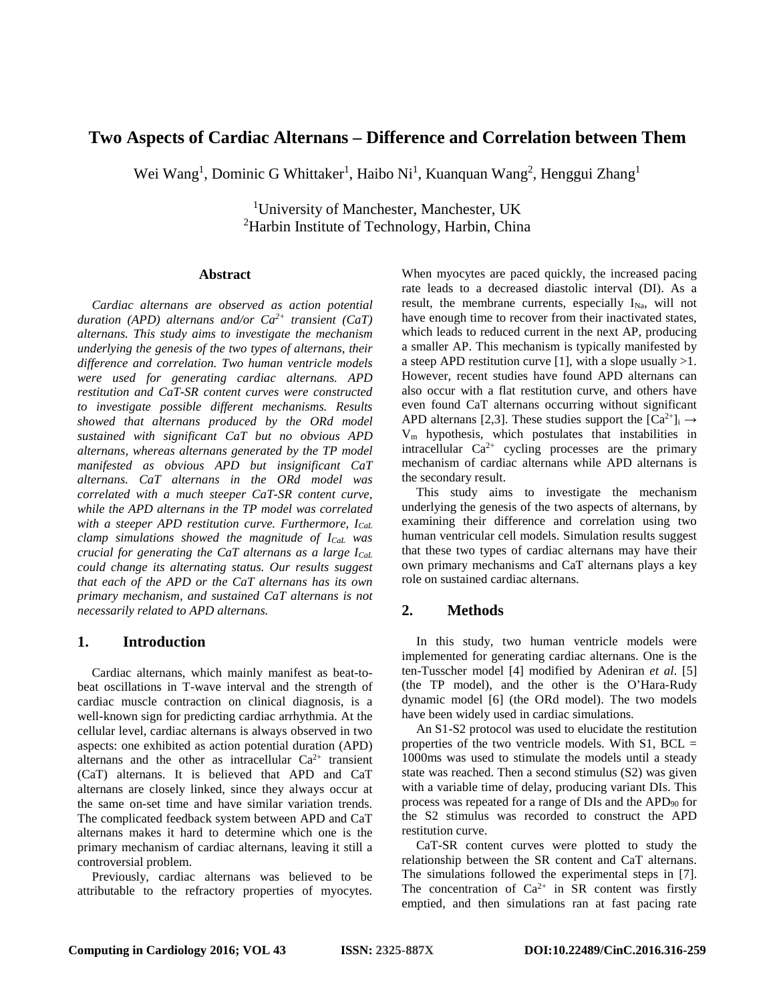# **Two Aspects of Cardiac Alternans – Difference and Correlation between Them**

Wei Wang<sup>1</sup>, Dominic G Whittaker<sup>1</sup>, Haibo Ni<sup>1</sup>, Kuanquan Wang<sup>2</sup>, Henggui Zhang<sup>1</sup>

<sup>1</sup>University of Manchester, Manchester, UK <sup>2</sup>Harbin Institute of Technology, Harbin, China

#### **Abstract**

*Cardiac alternans are observed as action potential duration (APD) alternans and/or Ca2+ transient (CaT) alternans. This study aims to investigate the mechanism underlying the genesis of the two types of alternans, their difference and correlation. Two human ventricle models were used for generating cardiac alternans. APD restitution and CaT-SR content curves were constructed to investigate possible different mechanisms. Results showed that alternans produced by the ORd model sustained with significant CaT but no obvious APD alternans, whereas alternans generated by the TP model manifested as obvious APD but insignificant CaT alternans. CaT alternans in the ORd model was correlated with a much steeper CaT-SR content curve, while the APD alternans in the TP model was correlated with a steeper APD restitution curve. Furthermore, ICaL clamp simulations showed the magnitude of ICaL was crucial for generating the CaT alternans as a large I<sub>CaL</sub> could change its alternating status. Our results suggest that each of the APD or the CaT alternans has its own primary mechanism, and sustained CaT alternans is not necessarily related to APD alternans.*

## **1. Introduction**

Cardiac alternans, which mainly manifest as beat-tobeat oscillations in T-wave interval and the strength of cardiac muscle contraction on clinical diagnosis, is a well-known sign for predicting cardiac arrhythmia. At the cellular level, cardiac alternans is always observed in two aspects: one exhibited as action potential duration (APD) alternans and the other as intracellular  $Ca^{2+}$  transient (CaT) alternans. It is believed that APD and CaT alternans are closely linked, since they always occur at the same on-set time and have similar variation trends. The complicated feedback system between APD and CaT alternans makes it hard to determine which one is the primary mechanism of cardiac alternans, leaving it still a controversial problem.

Previously, cardiac alternans was believed to be attributable to the refractory properties of myocytes.

When myocytes are paced quickly, the increased pacing rate leads to a decreased diastolic interval (DI). As a result, the membrane currents, especially  $I_{Na}$ , will not have enough time to recover from their inactivated states, which leads to reduced current in the next AP, producing a smaller AP. This mechanism is typically manifested by a steep APD restitution curve [1], with a slope usually  $>1$ . However, recent studies have found APD alternans can also occur with a flat restitution curve, and others have even found CaT alternans occurring without significant APD alternans [2,3]. These studies support the  $\lceil Ca^{2+} \rceil_i \rightarrow$ Vm hypothesis, which postulates that instabilities in intracellular  $Ca^{2+}$  cycling processes are the primary mechanism of cardiac alternans while APD alternans is the secondary result.

This study aims to investigate the mechanism underlying the genesis of the two aspects of alternans, by examining their difference and correlation using two human ventricular cell models. Simulation results suggest that these two types of cardiac alternans may have their own primary mechanisms and CaT alternans plays a key role on sustained cardiac alternans.

# **2. Methods**

In this study, two human ventricle models were implemented for generating cardiac alternans. One is the ten-Tusscher model [4] modified by Adeniran *et al*. [5] (the TP model), and the other is the O'Hara-Rudy dynamic model [6] (the ORd model). The two models have been widely used in cardiac simulations.

An S1-S2 protocol was used to elucidate the restitution properties of the two ventricle models. With  $S1$ ,  $BCL =$ 1000ms was used to stimulate the models until a steady state was reached. Then a second stimulus (S2) was given with a variable time of delay, producing variant DIs. This process was repeated for a range of DIs and the APD90 for the S2 stimulus was recorded to construct the APD restitution curve.

CaT-SR content curves were plotted to study the relationship between the SR content and CaT alternans. The simulations followed the experimental steps in [7]. The concentration of  $Ca^{2+}$  in SR content was firstly emptied, and then simulations ran at fast pacing rate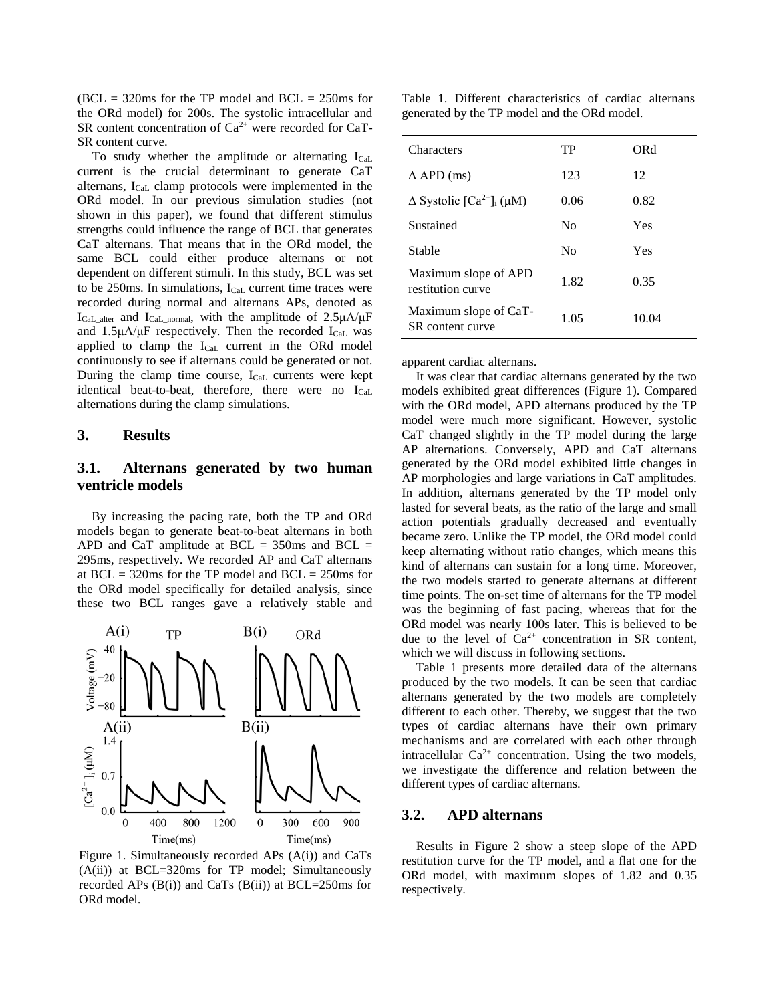$(BCL = 320)$  for the TP model and  $BCL = 250$  for the ORd model) for 200s. The systolic intracellular and SR content concentration of  $Ca^{2+}$  were recorded for CaT-SR content curve.

To study whether the amplitude or alternating  $I_{\text{Cal}}$ . current is the crucial determinant to generate CaT alternans,  $I_{Cal}$  clamp protocols were implemented in the ORd model. In our previous simulation studies (not shown in this paper), we found that different stimulus strengths could influence the range of BCL that generates CaT alternans. That means that in the ORd model, the same BCL could either produce alternans or not dependent on different stimuli. In this study, BCL was set to be 250ms. In simulations, ICaL current time traces were recorded during normal and alternans APs, denoted as  $I_{\text{Cal}\_\text{alter}}$  and  $I_{\text{Cal}\_\text{normal}}$ , with the amplitude of  $2.5\mu\text{A}/\mu\text{F}$ and  $1.5\mu A/\mu F$  respectively. Then the recorded I<sub>CaL</sub> was applied to clamp the I<sub>CaL</sub> current in the ORd model continuously to see if alternans could be generated or not. During the clamp time course, ICaL currents were kept identical beat-to-beat, therefore, there were no I<sub>CaL</sub> alternations during the clamp simulations.

#### **3. Results**

# **3.1. Alternans generated by two human ventricle models**

By increasing the pacing rate, both the TP and ORd models began to generate beat-to-beat alternans in both APD and CaT amplitude at  $BCL = 350$  ms and  $BCL =$ 295ms, respectively. We recorded AP and CaT alternans at  $BCL = 320$ ms for the TP model and  $BCL = 250$ ms for the ORd model specifically for detailed analysis, since these two BCL ranges gave a relatively stable and



Figure 1. Simultaneously recorded APs (A(i)) and CaTs  $(A(ii))$  at BCL=320ms for TP model; Simultaneously recorded APs  $(B(i))$  and CaTs  $(B(ii))$  at BCL=250ms for ORd model.

Table 1. Different characteristics of cardiac alternans generated by the TP model and the ORd model.

| Characters                                              | TP   | ORd   |
|---------------------------------------------------------|------|-------|
| $\Delta$ APD (ms)                                       | 123  | 12    |
| $\Delta$ Systolic [Ca <sup>2+</sup> ] <sub>i</sub> (µM) | 0.06 | 0.82  |
| Sustained                                               | No   | Yes   |
| Stable                                                  | No   | Yes   |
| Maximum slope of APD<br>restitution curve               | 1.82 | 0.35  |
| Maximum slope of CaT-<br>SR content curve               | 1.05 | 10.04 |

apparent cardiac alternans.

It was clear that cardiac alternans generated by the two models exhibited great differences (Figure 1). Compared with the ORd model, APD alternans produced by the TP model were much more significant. However, systolic CaT changed slightly in the TP model during the large AP alternations. Conversely, APD and CaT alternans generated by the ORd model exhibited little changes in AP morphologies and large variations in CaT amplitudes. In addition, alternans generated by the TP model only lasted for several beats, as the ratio of the large and small action potentials gradually decreased and eventually became zero. Unlike the TP model, the ORd model could keep alternating without ratio changes, which means this kind of alternans can sustain for a long time. Moreover, the two models started to generate alternans at different time points. The on-set time of alternans for the TP model was the beginning of fast pacing, whereas that for the ORd model was nearly 100s later. This is believed to be due to the level of  $Ca^{2+}$  concentration in SR content, which we will discuss in following sections.

Table 1 presents more detailed data of the alternans produced by the two models. It can be seen that cardiac alternans generated by the two models are completely different to each other. Thereby, we suggest that the two types of cardiac alternans have their own primary mechanisms and are correlated with each other through intracellular  $Ca^{2+}$  concentration. Using the two models, we investigate the difference and relation between the different types of cardiac alternans.

#### **3.2. APD alternans**

Results in Figure 2 show a steep slope of the APD restitution curve for the TP model, and a flat one for the ORd model, with maximum slopes of 1.82 and 0.35 respectively.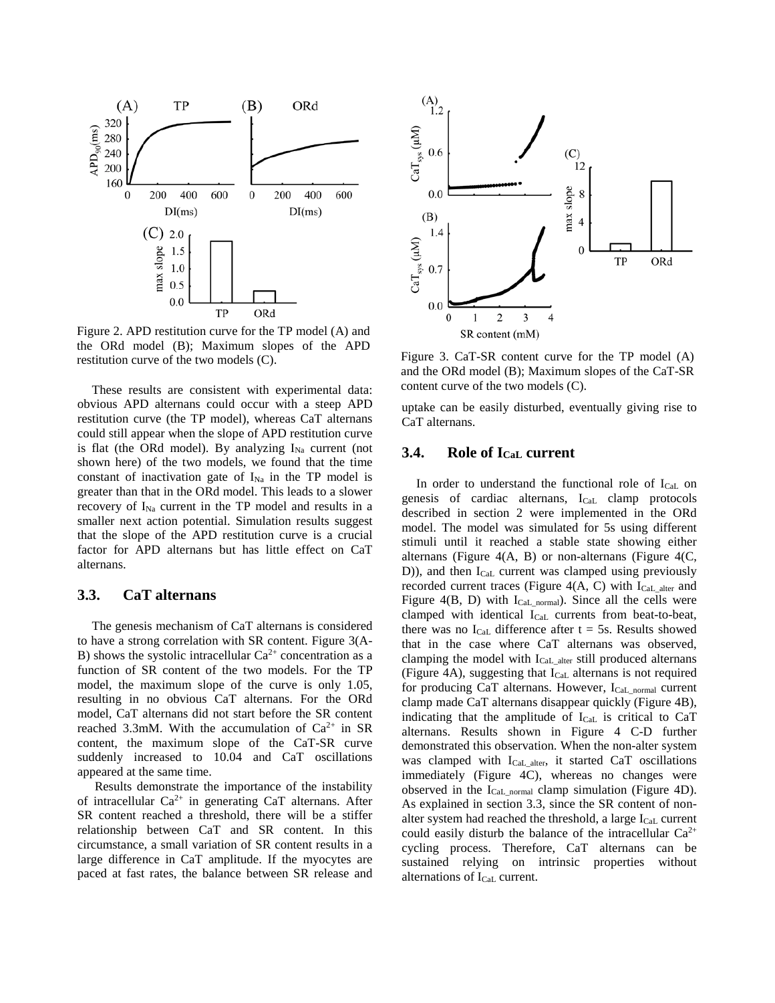

Figure 2. APD restitution curve for the TP model (A) and the ORd model (B); Maximum slopes of the APD restitution curve of the two models  $(C)$ . Figure 3. CaT-SR content curve for the TP model  $(A)$ 

These results are consistent with experimental data: obvious APD alternans could occur with a steep APD restitution curve (the TP model), whereas CaT alternans could still appear when the slope of APD restitution curve is flat (the ORd model). By analyzing  $I_{Na}$  current (not shown here) of the two models, we found that the time constant of inactivation gate of  $I_{Na}$  in the TP model is greater than that in the ORd model. This leads to a slower recovery of I<sub>Na</sub> current in the TP model and results in a smaller next action potential. Simulation results suggest that the slope of the APD restitution curve is a crucial factor for APD alternans but has little effect on CaT alternans.

### **3.3. CaT alternans**

The genesis mechanism of CaT alternans is considered to have a strong correlation with SR content. Figure 3(A-B) shows the systolic intracellular  $Ca^{2+}$  concentration as a function of SR content of the two models. For the TP model, the maximum slope of the curve is only 1.05, resulting in no obvious CaT alternans. For the ORd model, CaT alternans did not start before the SR content reached 3.3mM. With the accumulation of  $Ca^{2+}$  in SR content, the maximum slope of the CaT-SR curve suddenly increased to 10.04 and CaT oscillations appeared at the same time.

Results demonstrate the importance of the instability of intracellular Ca2+ in generating CaT alternans. After SR content reached a threshold, there will be a stiffer relationship between CaT and SR content. In this circumstance, a small variation of SR content results in a large difference in CaT amplitude. If the myocytes are paced at fast rates, the balance between SR release and



and the ORd model (B); Maximum slopes of the CaT-SR content curve of the two models (C).

uptake can be easily disturbed, eventually giving rise to CaT alternans.

# **3.4. Role of ICaL current**

In order to understand the functional role of  $I_{Cal}$  on genesis of cardiac alternans,  $I_{\text{Cal}}$  clamp protocols described in section 2 were implemented in the ORd model. The model was simulated for 5s using different stimuli until it reached a stable state showing either alternans (Figure  $4(A, B)$  or non-alternans (Figure  $4(C, B)$ ) D)), and then I<sub>CaL</sub> current was clamped using previously recorded current traces (Figure 4(A, C) with  $I_{\text{Cal}}$  alter and Figure  $4(B, D)$  with I<sub>CaL normal</sub>). Since all the cells were clamped with identical  $I_{\text{Cal}}$  currents from beat-to-beat, there was no  $I_{CaL}$  difference after  $t = 5s$ . Results showed that in the case where CaT alternans was observed, clamping the model with  $I_{Cal\_alter}$  still produced alternans (Figure 4A), suggesting that  $I_{\text{Cal}}$  alternans is not required for producing CaT alternans. However, ICaL\_normal current clamp made CaT alternans disappear quickly (Figure 4B), indicating that the amplitude of  $I_{Cal}$  is critical to CaT alternans. Results shown in Figure 4 C-D further demonstrated this observation. When the non-alter system was clamped with ICaL\_alter, it started CaT oscillations immediately (Figure 4C), whereas no changes were observed in the ICaL\_normal clamp simulation (Figure 4D). As explained in section 3.3, since the SR content of nonalter system had reached the threshold, a large  $I_{\text{Cal}}$  current could easily disturb the balance of the intracellular  $Ca^{2+}$ cycling process. Therefore, CaT alternans can be sustained relying on intrinsic properties without alternations of I<sub>CaL</sub> current.